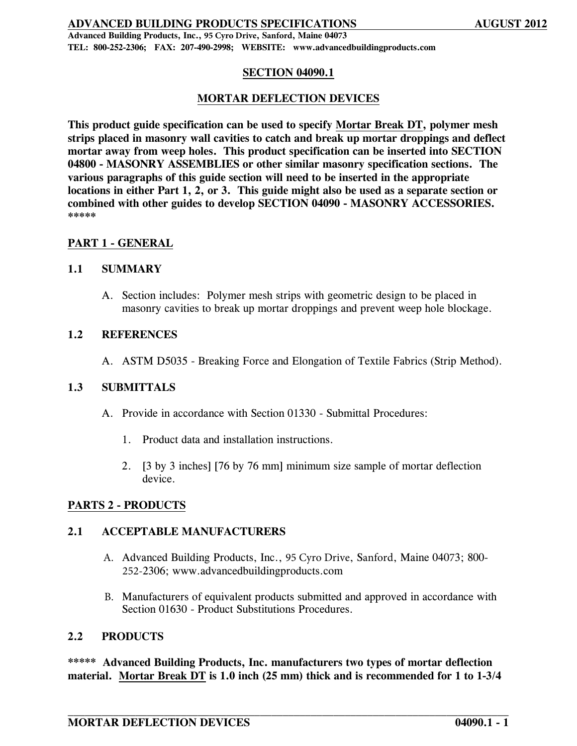**Advanced Building Products, Inc., 95 Cyro Drive, Sanford, Maine 04073 TEL: 800-252-2306; FAX: 207-490-2998; WEBSITE: www.advancedbuildingproducts.com**

## **SECTION 04090.1**

## **MORTAR DEFLECTION DEVICES**

**This product guide specification can be used to specify Mortar Break DT, polymer mesh strips placed in masonry wall cavities to catch and break up mortar droppings and deflect mortar away from weep holes. This product specification can be inserted into SECTION 04800 - MASONRY ASSEMBLIES or other similar masonry specification sections. The various paragraphs of this guide section will need to be inserted in the appropriate locations in either Part 1, 2, or 3. This guide might also be used as a separate section or combined with other guides to develop SECTION 04090 - MASONRY ACCESSORIES. \*\*\*\*\***

## **PART 1 - GENERAL**

#### **1.1 SUMMARY**

A. Section includes: Polymer mesh strips with geometric design to be placed in masonry cavities to break up mortar droppings and prevent weep hole blockage.

#### **1.2 REFERENCES**

A. ASTM D5035 - Breaking Force and Elongation of Textile Fabrics (Strip Method).

## **1.3 SUBMITTALS**

- A. Provide in accordance with Section 01330 Submittal Procedures:
	- 1. Product data and installation instructions.
	- 2. [3 by 3 inches] [76 by 76 mm] minimum size sample of mortar deflection device.

## **PARTS 2 - PRODUCTS**

#### **2.1 ACCEPTABLE MANUFACTURERS**

- A. Advanced Building Products, Inc., 95 Cyro Drive, Sanford, Maine 04073; 800- 252-2306; www.advancedbuildingproducts.com
- B. Manufacturers of equivalent products submitted and approved in accordance with Section 01630 - Product Substitutions Procedures.

#### **2.2 PRODUCTS**

**\*\*\*\*\* Advanced Building Products, Inc. manufacturers two types of mortar deflection material. Mortar Break DT is 1.0 inch (25 mm) thick and is recommended for 1 to 1-3/4**